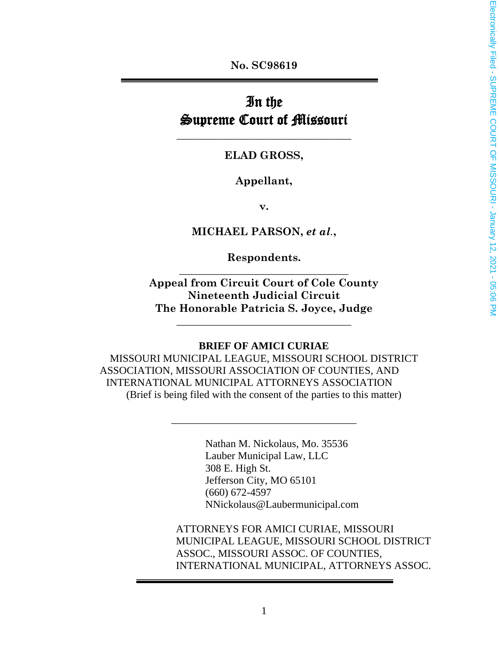**No. SC98619**

# In the Supreme Court of Missouri

#### **ELAD GROSS,**

**\_\_\_\_\_\_\_\_\_\_\_\_\_\_\_\_\_\_\_\_\_\_\_\_\_\_\_\_\_\_\_\_\_**

#### **Appellant,**

**v.**

#### **MICHAEL PARSON,** *et al.***,**

**Respondents. \_\_\_\_\_\_\_\_\_\_\_\_\_\_\_\_\_\_\_\_\_\_\_\_\_\_\_\_\_\_\_\_**

**Appeal from Circuit Court of Cole County Nineteenth Judicial Circuit The Honorable Patricia S. Joyce, Judge**

**\_\_\_\_\_\_\_\_\_\_\_\_\_\_\_\_\_\_\_\_\_\_\_\_\_\_\_\_\_\_\_\_\_**

#### **BRIEF OF AMICI CURIAE**

MISSOURI MUNICIPAL LEAGUE, MISSOURI SCHOOL DISTRICT ASSOCIATION, MISSOURI ASSOCIATION OF COUNTIES, AND INTERNATIONAL MUNICIPAL ATTORNEYS ASSOCIATION (Brief is being filed with the consent of the parties to this matter)

\_\_\_\_\_\_\_\_\_\_\_\_\_\_\_\_\_\_\_\_\_\_\_\_\_\_\_\_\_\_\_\_\_\_\_

Nathan M. Nickolaus, Mo. 35536 Lauber Municipal Law, LLC 308 E. High St. Jefferson City, MO 65101 (660) 672-4597 NNickolaus@Laubermunicipal.com

ATTORNEYS FOR AMICI CURIAE, MISSOURI MUNICIPAL LEAGUE, MISSOURI SCHOOL DISTRICT ASSOC., MISSOURI ASSOC. OF COUNTIES, INTERNATIONAL MUNICIPAL, ATTORNEYS ASSOC.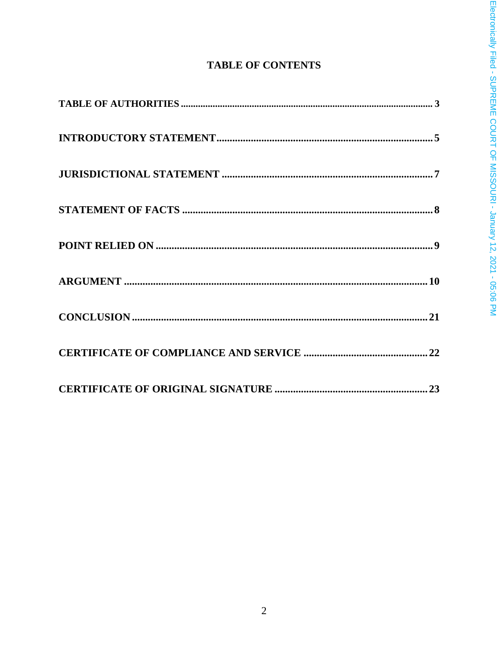# **TABLE OF CONTENTS**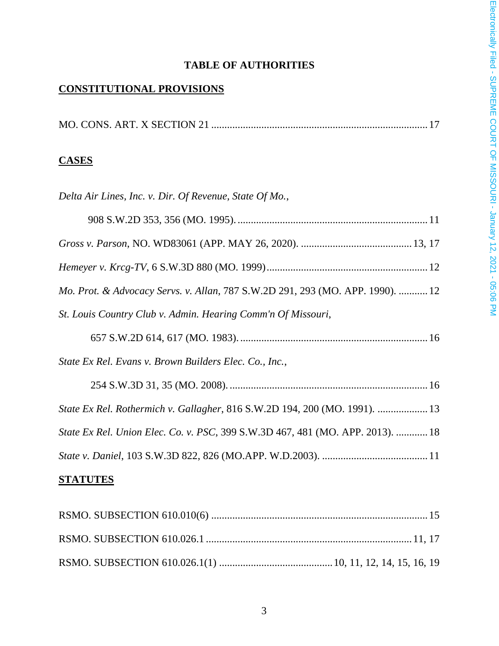# **TABLE OF AUTHORITIES**

# **CONSTITUTIONAL PROVISIONS**

# **CASES**

| Delta Air Lines, Inc. v. Dir. Of Revenue, State Of Mo.,                        |
|--------------------------------------------------------------------------------|
|                                                                                |
|                                                                                |
|                                                                                |
| Mo. Prot. & Advocacy Servs. v. Allan, 787 S.W.2D 291, 293 (MO. APP. 1990).  12 |
| St. Louis Country Club v. Admin. Hearing Comm'n Of Missouri,                   |
|                                                                                |
| State Ex Rel. Evans v. Brown Builders Elec. Co., Inc.,                         |
|                                                                                |
| State Ex Rel. Rothermich v. Gallagher, 816 S.W.2D 194, 200 (MO. 1991).  13     |
| State Ex Rel. Union Elec. Co. v. PSC, 399 S.W.3D 467, 481 (MO. APP. 2013).  18 |
|                                                                                |
|                                                                                |

## **STATUTES**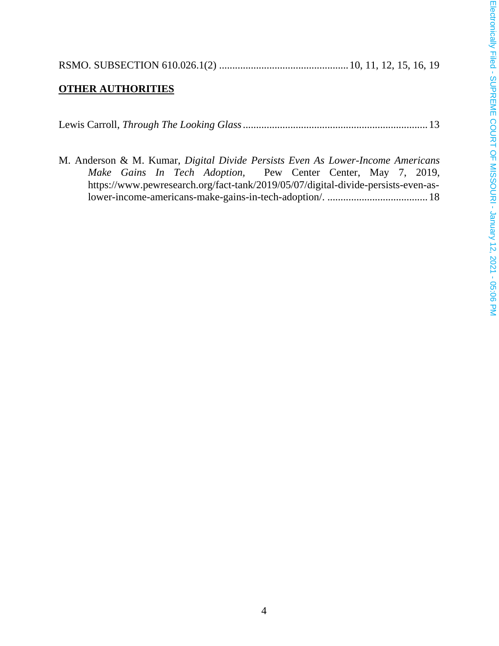| ֖֖֖֖֧ׅ֧֧ׅ֧֦֧֧֧֚֚֚֚֚֚֚֚֚֚֚֚֚֚֚֚֚֚֚֚֚֚֚֚֚֬֝֝֓֝֬֓֝֓֝֬֓֝֬֝֬֝֓֝֬֝                                                                                                                                                                         |  |
|--------------------------------------------------------------------------------------------------------------------------------------------------------------------------------------------------------------------------------------|--|
|                                                                                                                                                                                                                                      |  |
|                                                                                                                                                                                                                                      |  |
|                                                                                                                                                                                                                                      |  |
|                                                                                                                                                                                                                                      |  |
|                                                                                                                                                                                                                                      |  |
|                                                                                                                                                                                                                                      |  |
| -<br>-<br>3<br>5<br>5                                                                                                                                                                                                                |  |
|                                                                                                                                                                                                                                      |  |
|                                                                                                                                                                                                                                      |  |
|                                                                                                                                                                                                                                      |  |
|                                                                                                                                                                                                                                      |  |
|                                                                                                                                                                                                                                      |  |
|                                                                                                                                                                                                                                      |  |
|                                                                                                                                                                                                                                      |  |
|                                                                                                                                                                                                                                      |  |
|                                                                                                                                                                                                                                      |  |
|                                                                                                                                                                                                                                      |  |
|                                                                                                                                                                                                                                      |  |
|                                                                                                                                                                                                                                      |  |
|                                                                                                                                                                                                                                      |  |
|                                                                                                                                                                                                                                      |  |
|                                                                                                                                                                                                                                      |  |
|                                                                                                                                                                                                                                      |  |
|                                                                                                                                                                                                                                      |  |
|                                                                                                                                                                                                                                      |  |
|                                                                                                                                                                                                                                      |  |
|                                                                                                                                                                                                                                      |  |
|                                                                                                                                                                                                                                      |  |
|                                                                                                                                                                                                                                      |  |
|                                                                                                                                                                                                                                      |  |
|                                                                                                                                                                                                                                      |  |
|                                                                                                                                                                                                                                      |  |
|                                                                                                                                                                                                                                      |  |
|                                                                                                                                                                                                                                      |  |
|                                                                                                                                                                                                                                      |  |
|                                                                                                                                                                                                                                      |  |
|                                                                                                                                                                                                                                      |  |
|                                                                                                                                                                                                                                      |  |
|                                                                                                                                                                                                                                      |  |
|                                                                                                                                                                                                                                      |  |
| $\sum_{i=1}^{n}$                                                                                                                                                                                                                     |  |
|                                                                                                                                                                                                                                      |  |
|                                                                                                                                                                                                                                      |  |
|                                                                                                                                                                                                                                      |  |
|                                                                                                                                                                                                                                      |  |
|                                                                                                                                                                                                                                      |  |
|                                                                                                                                                                                                                                      |  |
|                                                                                                                                                                                                                                      |  |
| <b>Alive Tires COUT ATTER TO COUNT OF THIC COURT COINT AT A FAME AND ALIVE TO CALLY THAT A COUNT OF THIS COURT COINT AT A FAME AND A FAME AND A FAME AND A FAME AND A FAME AND A FAME AND A FAME AND A FAME AND A FAME AND A FAM</b> |  |

|--|--|--|--|--|--|--|

# **OTHER AUTHORITIES**

|                                                                                   |  |  |  |  | M. Anderson & M. Kumar, <i>Digital Divide Persists Even As Lower-Income Americans</i> |  |  |  |  |  |
|-----------------------------------------------------------------------------------|--|--|--|--|---------------------------------------------------------------------------------------|--|--|--|--|--|
|                                                                                   |  |  |  |  | Make Gains In Tech Adoption, Pew Center Center, May 7, 2019,                          |  |  |  |  |  |
| https://www.pewresearch.org/fact-tank/2019/05/07/digital-divide-persists-even-as- |  |  |  |  |                                                                                       |  |  |  |  |  |
|                                                                                   |  |  |  |  |                                                                                       |  |  |  |  |  |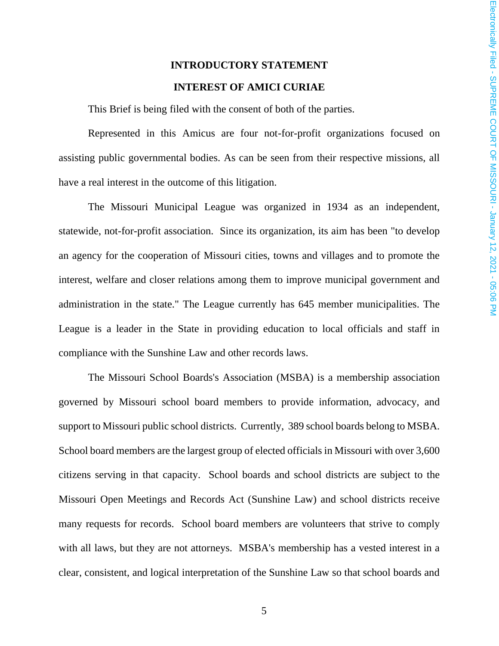# **INTRODUCTORY STATEMENT INTEREST OF AMICI CURIAE**

This Brief is being filed with the consent of both of the parties.

Represented in this Amicus are four not-for-profit organizations focused on assisting public governmental bodies. As can be seen from their respective missions, all have a real interest in the outcome of this litigation.

The Missouri Municipal League was organized in 1934 as an independent, statewide, not-for-profit association. Since its organization, its aim has been "to develop an agency for the cooperation of Missouri cities, towns and villages and to promote the interest, welfare and closer relations among them to improve municipal government and administration in the state." The League currently has 645 member municipalities. The League is a leader in the State in providing education to local officials and staff in compliance with the Sunshine Law and other records laws.

The Missouri School Boards's Association (MSBA) is a membership association governed by Missouri school board members to provide information, advocacy, and support to Missouri public school districts. Currently, 389 school boards belong to MSBA. School board members are the largest group of elected officials in Missouri with over 3,600 citizens serving in that capacity. School boards and school districts are subject to the Missouri Open Meetings and Records Act (Sunshine Law) and school districts receive many requests for records. School board members are volunteers that strive to comply with all laws, but they are not attorneys. MSBA's membership has a vested interest in a clear, consistent, and logical interpretation of the Sunshine Law so that school boards and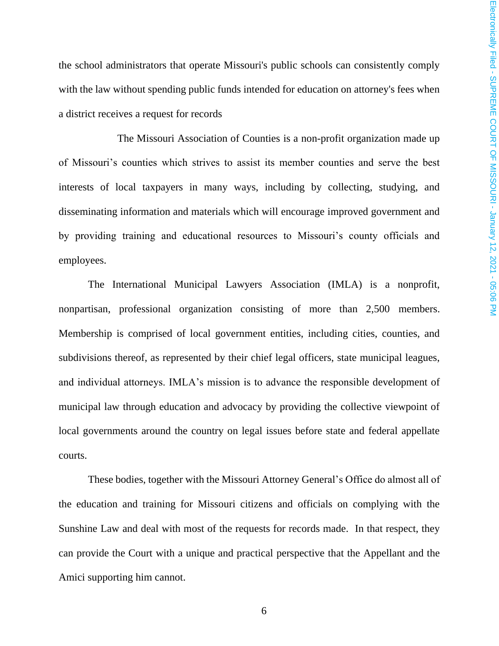the school administrators that operate Missouri's public schools can consistently comply with the law without spending public funds intended for education on attorney's fees when a district receives a request for records

The Missouri Association of Counties is a non-profit organization made up of Missouri's counties which strives to assist its member counties and serve the best interests of local taxpayers in many ways, including by collecting, studying, and disseminating information and materials which will encourage improved government and by providing training and educational resources to Missouri's county officials and employees.

The International Municipal Lawyers Association (IMLA) is a nonprofit, nonpartisan, professional organization consisting of more than 2,500 members. Membership is comprised of local government entities, including cities, counties, and subdivisions thereof, as represented by their chief legal officers, state municipal leagues, and individual attorneys. IMLA's mission is to advance the responsible development of municipal law through education and advocacy by providing the collective viewpoint of local governments around the country on legal issues before state and federal appellate courts.

These bodies, together with the Missouri Attorney General's Office do almost all of the education and training for Missouri citizens and officials on complying with the Sunshine Law and deal with most of the requests for records made. In that respect, they can provide the Court with a unique and practical perspective that the Appellant and the Amici supporting him cannot.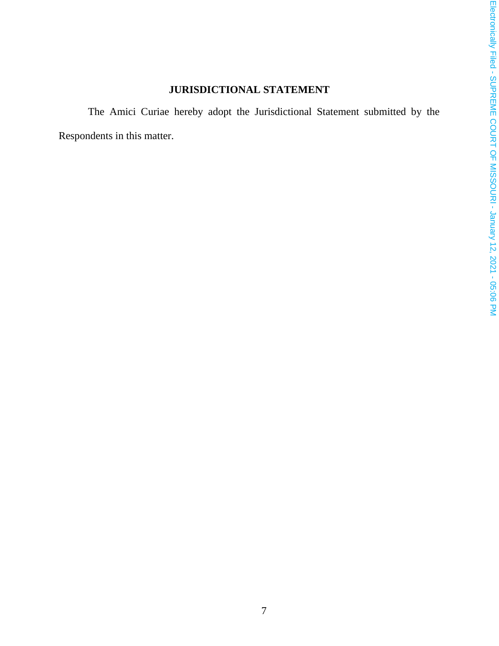# **JURISDICTIONAL STATEMENT**

The Amici Curiae hereby adopt the Jurisdictional Statement submitted by the Respondents in this matter.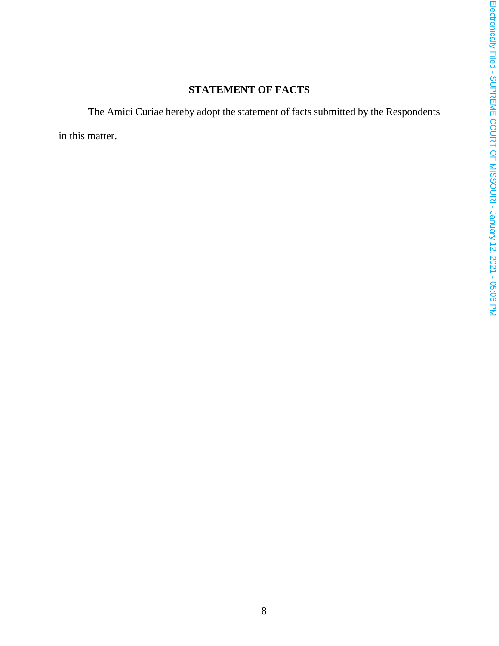# **STATEMENT OF FACTS**

The Amici Curiae hereby adopt the statement of facts submitted by the Respondents

in this matter.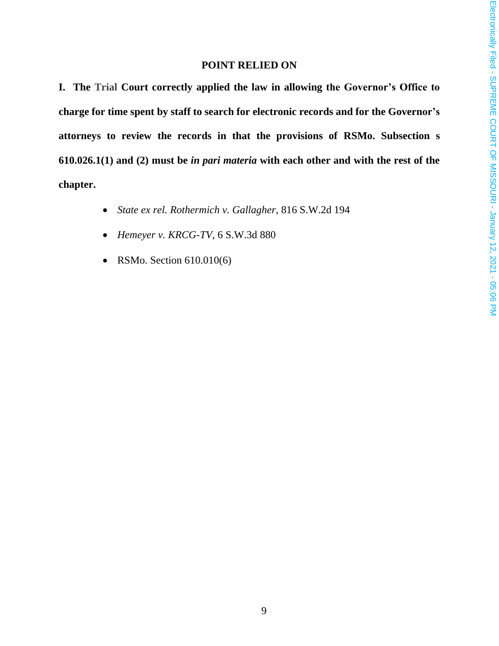#### **POINT RELIED ON**

**I. The Trial Court correctly applied the law in allowing the Governor's Office to charge for time spent by staff to search for electronic records and for the Governor's attorneys to review the records in that the provisions of RSMo. Subsection s 610.026.1(1) and (2) must be** *in pari materia* **with each other and with the rest of the chapter.**

- *State ex rel. Rothermich v. Gallagher*, 816 S.W.2d 194
- *Hemeyer v. KRCG-TV*, 6 S.W.3d 880
- RSMo. Section 610.010(6)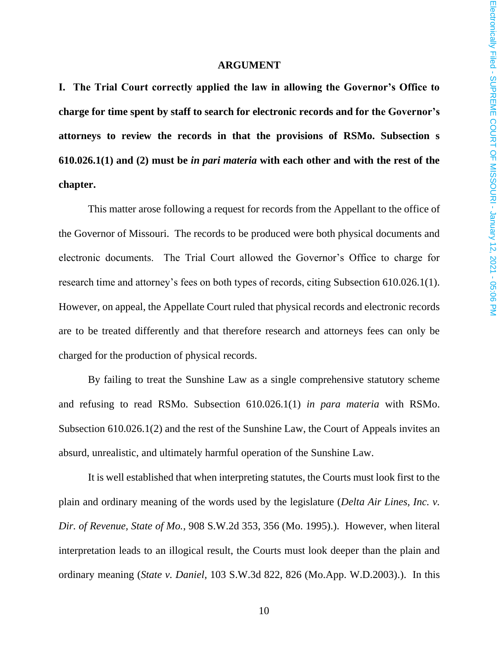#### **ARGUMENT**

**I. The Trial Court correctly applied the law in allowing the Governor's Office to charge for time spent by staff to search for electronic records and for the Governor's attorneys to review the records in that the provisions of RSMo. Subsection s 610.026.1(1) and (2) must be** *in pari materia* **with each other and with the rest of the chapter.**

This matter arose following a request for records from the Appellant to the office of the Governor of Missouri. The records to be produced were both physical documents and electronic documents. The Trial Court allowed the Governor's Office to charge for research time and attorney's fees on both types of records, citing Subsection 610.026.1(1). However, on appeal, the Appellate Court ruled that physical records and electronic records are to be treated differently and that therefore research and attorneys fees can only be charged for the production of physical records.

By failing to treat the Sunshine Law as a single comprehensive statutory scheme and refusing to read RSMo. Subsection 610.026.1(1) *in para materia* with RSMo. Subsection 610.026.1(2) and the rest of the Sunshine Law, the Court of Appeals invites an absurd, unrealistic, and ultimately harmful operation of the Sunshine Law.

It is well established that when interpreting statutes, the Courts must look first to the plain and ordinary meaning of the words used by the legislature (*Delta Air Lines, Inc. v. Dir. of Revenue, State of Mo.*, 908 S.W.2d 353, 356 (Mo. 1995).). However, when literal interpretation leads to an illogical result, the Courts must look deeper than the plain and ordinary meaning (*State v. Daniel*, 103 S.W.3d 822, 826 (Mo.App. W.D.2003).). In this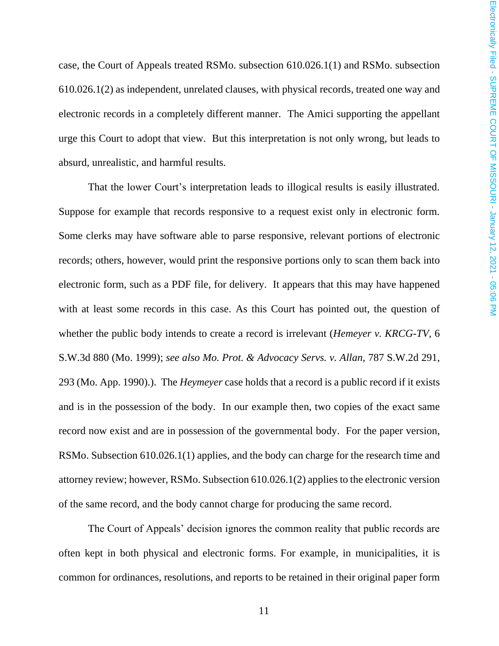case, the Court of Appeals treated RSMo. subsection 610.026.1(1) and RSMo. subsection 610.026.1(2) as independent, unrelated clauses, with physical records, treated one way and electronic records in a completely different manner. The Amici supporting the appellant urge this Court to adopt that view. But this interpretation is not only wrong, but leads to absurd, unrealistic, and harmful results.

That the lower Court's interpretation leads to illogical results is easily illustrated. Suppose for example that records responsive to a request exist only in electronic form. Some clerks may have software able to parse responsive, relevant portions of electronic records; others, however, would print the responsive portions only to scan them back into electronic form, such as a PDF file, for delivery. It appears that this may have happened with at least some records in this case. As this Court has pointed out, the question of whether the public body intends to create a record is irrelevant (*Hemeyer v. KRCG-TV*, 6 S.W.3d 880 (Mo. 1999); *see also Mo. Prot. & Advocacy Servs. v. Allan,* 787 S.W.2d 291, 293 (Mo. App. 1990).). The *Heymeyer* case holds that a record is a public record if it exists and is in the possession of the body. In our example then, two copies of the exact same record now exist and are in possession of the governmental body. For the paper version, RSMo. Subsection 610.026.1(1) applies, and the body can charge for the research time and attorney review; however, RSMo. Subsection 610.026.1(2) applies to the electronic version of the same record, and the body cannot charge for producing the same record.

The Court of Appeals' decision ignores the common reality that public records are often kept in both physical and electronic forms. For example, in municipalities, it is common for ordinances, resolutions, and reports to be retained in their original paper form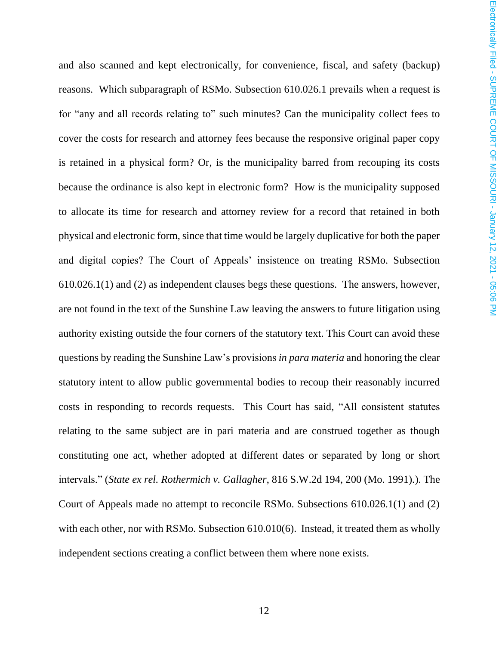and also scanned and kept electronically, for convenience, fiscal, and safety (backup) reasons. Which subparagraph of RSMo. Subsection 610.026.1 prevails when a request is for "any and all records relating to" such minutes? Can the municipality collect fees to cover the costs for research and attorney fees because the responsive original paper copy is retained in a physical form? Or, is the municipality barred from recouping its costs because the ordinance is also kept in electronic form? How is the municipality supposed to allocate its time for research and attorney review for a record that retained in both physical and electronic form, since that time would be largely duplicative for both the paper and digital copies? The Court of Appeals' insistence on treating RSMo. Subsection 610.026.1(1) and (2) as independent clauses begs these questions. The answers, however, are not found in the text of the Sunshine Law leaving the answers to future litigation using authority existing outside the four corners of the statutory text. This Court can avoid these questions by reading the Sunshine Law's provisions *in para materia* and honoring the clear statutory intent to allow public governmental bodies to recoup their reasonably incurred costs in responding to records requests. This Court has said, "All consistent statutes relating to the same subject are in pari materia and are construed together as though constituting one act, whether adopted at different dates or separated by long or short intervals." (*State ex rel. Rothermich v. Gallagher*, 816 S.W.2d 194, 200 (Mo. 1991).). The Court of Appeals made no attempt to reconcile RSMo. Subsections 610.026.1(1) and (2) with each other, nor with RSMo. Subsection 610.010(6). Instead, it treated them as wholly independent sections creating a conflict between them where none exists.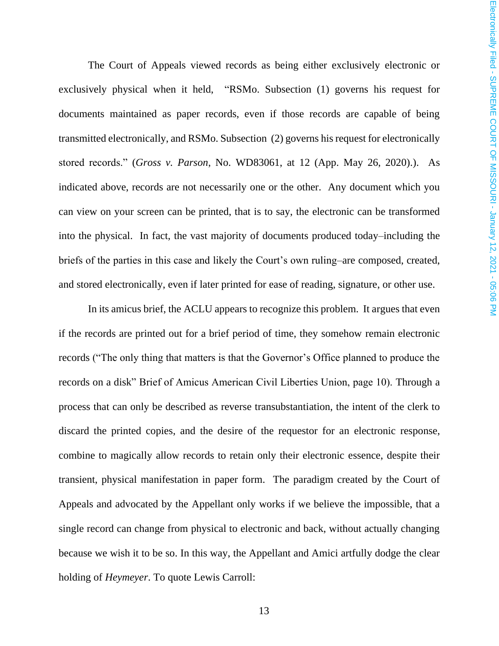The Court of Appeals viewed records as being either exclusively electronic or exclusively physical when it held, "RSMo. Subsection (1) governs his request for documents maintained as paper records, even if those records are capable of being transmitted electronically, and RSMo. Subsection (2) governs his request for electronically stored records." (*Gross v. Parson*, No. WD83061, at 12 (App. May 26, 2020).). As indicated above, records are not necessarily one or the other. Any document which you can view on your screen can be printed, that is to say, the electronic can be transformed into the physical. In fact, the vast majority of documents produced today–including the briefs of the parties in this case and likely the Court's own ruling–are composed, created, and stored electronically, even if later printed for ease of reading, signature, or other use.

In its amicus brief, the ACLU appears to recognize this problem. It argues that even if the records are printed out for a brief period of time, they somehow remain electronic records ("The only thing that matters is that the Governor's Office planned to produce the records on a disk" Brief of Amicus American Civil Liberties Union, page 10). Through a process that can only be described as reverse transubstantiation, the intent of the clerk to discard the printed copies, and the desire of the requestor for an electronic response, combine to magically allow records to retain only their electronic essence, despite their transient, physical manifestation in paper form. The paradigm created by the Court of Appeals and advocated by the Appellant only works if we believe the impossible, that a single record can change from physical to electronic and back, without actually changing because we wish it to be so. In this way, the Appellant and Amici artfully dodge the clear holding of *Heymeyer*. To quote Lewis Carroll: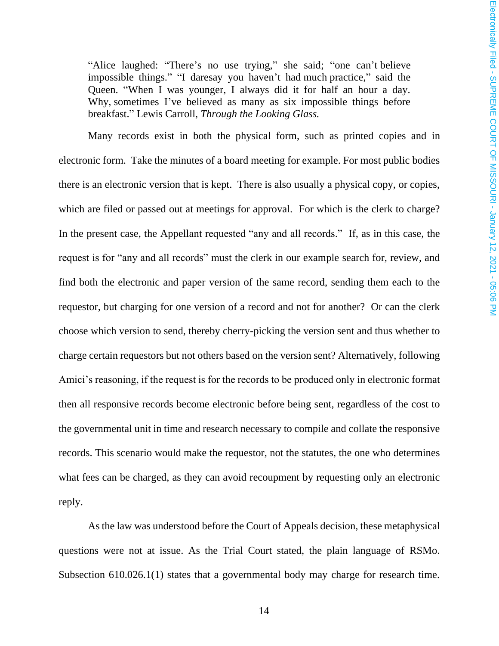"Alice laughed: "There's no use trying," she said; "one can't believe impossible things." "I daresay you haven't had much practice," said the Queen. "When I was younger, I always did it for half an hour a day. Why, sometimes I've believed as many as six impossible things before breakfast." Lewis Carroll, *Through the Looking Glass.*

Many records exist in both the physical form, such as printed copies and in electronic form. Take the minutes of a board meeting for example. For most public bodies there is an electronic version that is kept. There is also usually a physical copy, or copies, which are filed or passed out at meetings for approval. For which is the clerk to charge? In the present case, the Appellant requested "any and all records." If, as in this case, the request is for "any and all records" must the clerk in our example search for, review, and find both the electronic and paper version of the same record, sending them each to the requestor, but charging for one version of a record and not for another? Or can the clerk choose which version to send, thereby cherry-picking the version sent and thus whether to charge certain requestors but not others based on the version sent? Alternatively, following Amici's reasoning, if the request is for the records to be produced only in electronic format then all responsive records become electronic before being sent, regardless of the cost to the governmental unit in time and research necessary to compile and collate the responsive records. This scenario would make the requestor, not the statutes, the one who determines what fees can be charged, as they can avoid recoupment by requesting only an electronic reply.

As the law was understood before the Court of Appeals decision, these metaphysical questions were not at issue. As the Trial Court stated, the plain language of RSMo. Subsection 610.026.1(1) states that a governmental body may charge for research time.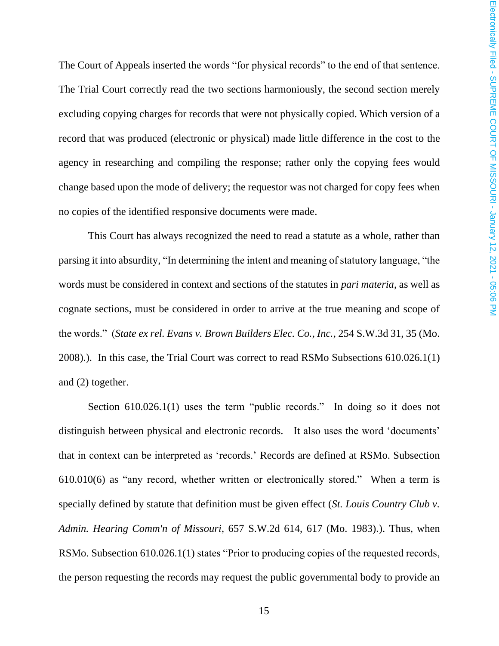The Court of Appeals inserted the words "for physical records" to the end of that sentence. The Trial Court correctly read the two sections harmoniously, the second section merely excluding copying charges for records that were not physically copied. Which version of a record that was produced (electronic or physical) made little difference in the cost to the agency in researching and compiling the response; rather only the copying fees would change based upon the mode of delivery; the requestor was not charged for copy fees when no copies of the identified responsive documents were made.

This Court has always recognized the need to read a statute as a whole, rather than parsing it into absurdity, "In determining the intent and meaning of statutory language, "the words must be considered in context and sections of the statutes in *pari materia*, as well as cognate sections, must be considered in order to arrive at the true meaning and scope of the words." (*State ex rel. Evans v. Brown Builders Elec. Co., Inc.*, 254 S.W.3d 31, 35 (Mo. 2008).). In this case, the Trial Court was correct to read RSMo Subsections 610.026.1(1) and (2) together.

Section 610.026.1(1) uses the term "public records." In doing so it does not distinguish between physical and electronic records. It also uses the word 'documents' that in context can be interpreted as 'records.' Records are defined at RSMo. Subsection 610.010(6) as "any record, whether written or electronically stored." When a term is specially defined by statute that definition must be given effect (*St. Louis Country Club v. Admin. Hearing Comm'n of Missouri*, 657 S.W.2d 614, 617 (Mo. 1983).). Thus, when RSMo. Subsection 610.026.1(1) states "Prior to producing copies of the requested records, the person requesting the records may request the public governmental body to provide an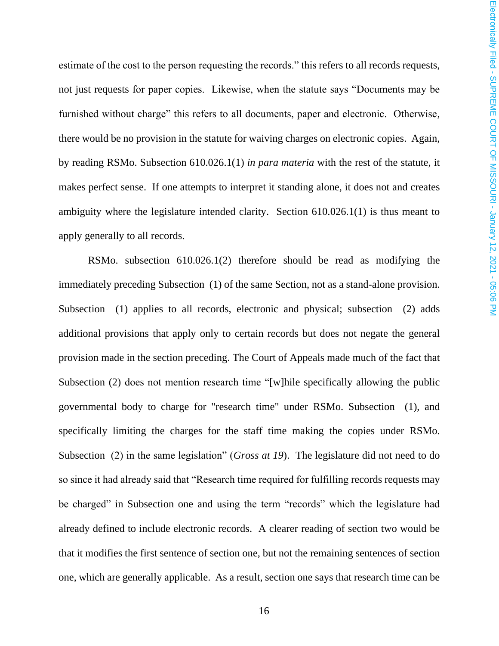estimate of the cost to the person requesting the records." this refers to all records requests, not just requests for paper copies. Likewise, when the statute says "Documents may be furnished without charge" this refers to all documents, paper and electronic. Otherwise, there would be no provision in the statute for waiving charges on electronic copies. Again, by reading RSMo. Subsection 610.026.1(1) *in para materia* with the rest of the statute, it makes perfect sense. If one attempts to interpret it standing alone, it does not and creates ambiguity where the legislature intended clarity. Section 610.026.1(1) is thus meant to apply generally to all records.

RSMo. subsection 610.026.1(2) therefore should be read as modifying the immediately preceding Subsection (1) of the same Section, not as a stand-alone provision. Subsection (1) applies to all records, electronic and physical; subsection (2) adds additional provisions that apply only to certain records but does not negate the general provision made in the section preceding. The Court of Appeals made much of the fact that Subsection (2) does not mention research time "[w] hile specifically allowing the public governmental body to charge for "research time" under RSMo. Subsection (1), and specifically limiting the charges for the staff time making the copies under RSMo. Subsection (2) in the same legislation" (*Gross at 19*). The legislature did not need to do so since it had already said that "Research time required for fulfilling records requests may be charged" in Subsection one and using the term "records" which the legislature had already defined to include electronic records. A clearer reading of section two would be that it modifies the first sentence of section one, but not the remaining sentences of section one, which are generally applicable. As a result, section one says that research time can be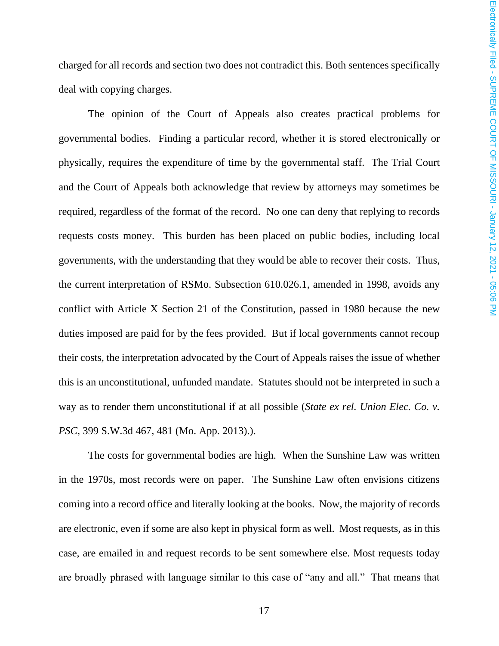charged for all records and section two does not contradict this. Both sentences specifically deal with copying charges.

The opinion of the Court of Appeals also creates practical problems for governmental bodies. Finding a particular record, whether it is stored electronically or physically, requires the expenditure of time by the governmental staff. The Trial Court and the Court of Appeals both acknowledge that review by attorneys may sometimes be required, regardless of the format of the record. No one can deny that replying to records requests costs money. This burden has been placed on public bodies, including local governments, with the understanding that they would be able to recover their costs. Thus, the current interpretation of RSMo. Subsection 610.026.1, amended in 1998, avoids any conflict with Article X Section 21 of the Constitution, passed in 1980 because the new duties imposed are paid for by the fees provided. But if local governments cannot recoup their costs, the interpretation advocated by the Court of Appeals raises the issue of whether this is an unconstitutional, unfunded mandate. Statutes should not be interpreted in such a way as to render them unconstitutional if at all possible (*State ex rel. Union Elec. Co. v. PSC*, 399 S.W.3d 467, 481 (Mo. App. 2013).).

The costs for governmental bodies are high. When the Sunshine Law was written in the 1970s, most records were on paper. The Sunshine Law often envisions citizens coming into a record office and literally looking at the books. Now, the majority of records are electronic, even if some are also kept in physical form as well. Most requests, as in this case, are emailed in and request records to be sent somewhere else. Most requests today are broadly phrased with language similar to this case of "any and all." That means that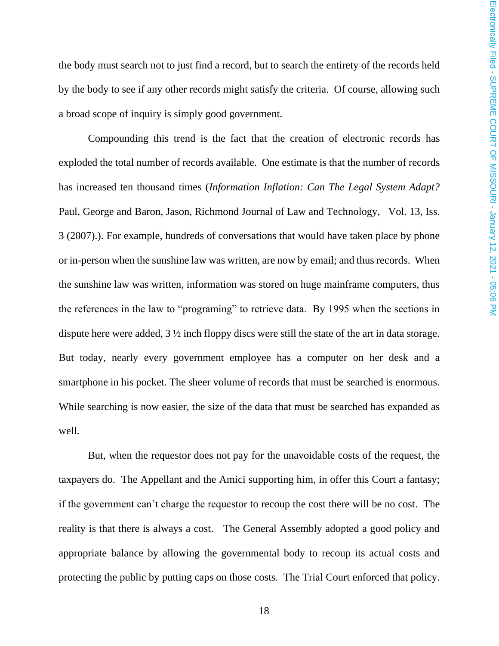the body must search not to just find a record, but to search the entirety of the records held by the body to see if any other records might satisfy the criteria. Of course, allowing such a broad scope of inquiry is simply good government.

Compounding this trend is the fact that the creation of electronic records has exploded the total number of records available. One estimate is that the number of records has increased ten thousand times (*Information Inflation: Can The Legal System Adapt?* Paul, George and Baron, Jason, Richmond Journal of Law and Technology, Vol. 13, Iss. 3 (2007).). For example, hundreds of conversations that would have taken place by phone or in-person when the sunshine law was written, are now by email; and thus records. When the sunshine law was written, information was stored on huge mainframe computers, thus the references in the law to "programing" to retrieve data. By 1995 when the sections in dispute here were added, 3 ½ inch floppy discs were still the state of the art in data storage. But today, nearly every government employee has a computer on her desk and a smartphone in his pocket. The sheer volume of records that must be searched is enormous. While searching is now easier, the size of the data that must be searched has expanded as well.

But, when the requestor does not pay for the unavoidable costs of the request, the taxpayers do. The Appellant and the Amici supporting him, in offer this Court a fantasy; if the government can't charge the requestor to recoup the cost there will be no cost. The reality is that there is always a cost. The General Assembly adopted a good policy and appropriate balance by allowing the governmental body to recoup its actual costs and protecting the public by putting caps on those costs. The Trial Court enforced that policy.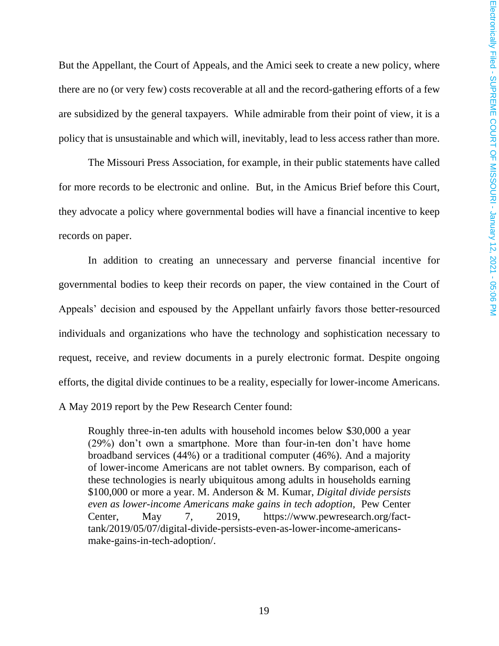But the Appellant, the Court of Appeals, and the Amici seek to create a new policy, where there are no (or very few) costs recoverable at all and the record-gathering efforts of a few are subsidized by the general taxpayers. While admirable from their point of view, it is a policy that is unsustainable and which will, inevitably, lead to less access rather than more.

The Missouri Press Association, for example, in their public statements have called for more records to be electronic and online. But, in the Amicus Brief before this Court, they advocate a policy where governmental bodies will have a financial incentive to keep records on paper.

In addition to creating an unnecessary and perverse financial incentive for governmental bodies to keep their records on paper, the view contained in the Court of Appeals' decision and espoused by the Appellant unfairly favors those better-resourced individuals and organizations who have the technology and sophistication necessary to request, receive, and review documents in a purely electronic format. Despite ongoing efforts, the digital divide continues to be a reality, especially for lower-income Americans. A May 2019 report by the Pew Research Center found:

Roughly three-in-ten adults with household incomes below \$30,000 a year (29%) don't own a smartphone. More than four-in-ten don't have home broadband services (44%) or a traditional computer (46%). And a majority of lower-income Americans are not tablet owners. By comparison, each of these technologies is nearly ubiquitous among adults in households earning \$100,000 or more a year. M. Anderson & M. Kumar, *Digital divide persists even as lower-income Americans make gains in tech adoption,* Pew Center Center, May 7, 2019, https://www.pewresearch.org/facttank/2019/05/07/digital-divide-persists-even-as-lower-income-americansmake-gains-in-tech-adoption/.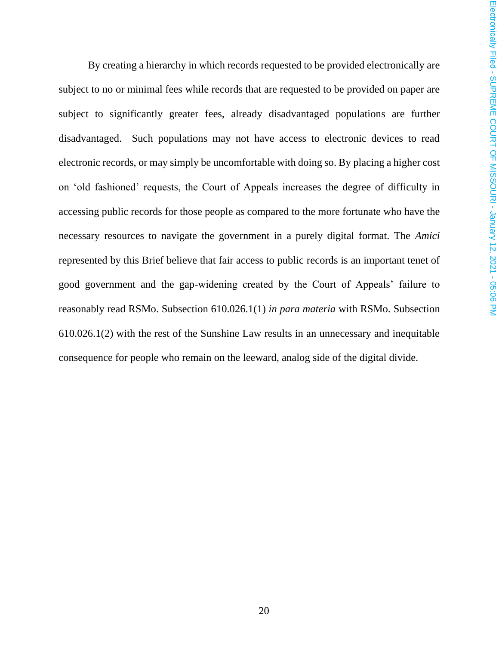By creating a hierarchy in which records requested to be provided electronically are subject to no or minimal fees while records that are requested to be provided on paper are subject to significantly greater fees, already disadvantaged populations are further disadvantaged. Such populations may not have access to electronic devices to read electronic records, or may simply be uncomfortable with doing so. By placing a higher cost on 'old fashioned' requests, the Court of Appeals increases the degree of difficulty in accessing public records for those people as compared to the more fortunate who have the necessary resources to navigate the government in a purely digital format. The *Amici* represented by this Brief believe that fair access to public records is an important tenet of good government and the gap-widening created by the Court of Appeals' failure to reasonably read RSMo. Subsection 610.026.1(1) *in para materia* with RSMo. Subsection 610.026.1(2) with the rest of the Sunshine Law results in an unnecessary and inequitable consequence for people who remain on the leeward, analog side of the digital divide.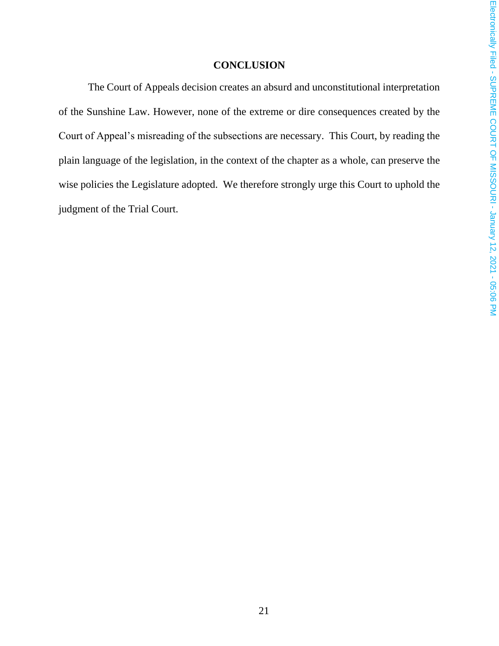#### **CONCLUSION**

The Court of Appeals decision creates an absurd and unconstitutional interpretation of the Sunshine Law. However, none of the extreme or dire consequences created by the Court of Appeal's misreading of the subsections are necessary. This Court, by reading the plain language of the legislation, in the context of the chapter as a whole, can preserve the wise policies the Legislature adopted. We therefore strongly urge this Court to uphold the judgment of the Trial Court.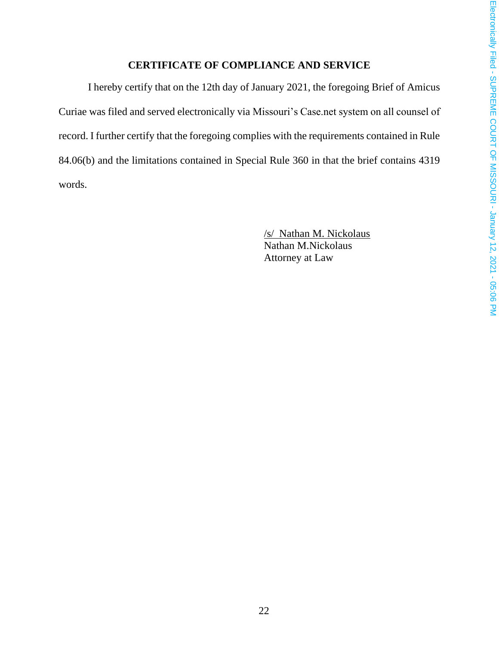### **CERTIFICATE OF COMPLIANCE AND SERVICE**

I hereby certify that on the 12th day of January 2021, the foregoing Brief of Amicus Curiae was filed and served electronically via Missouri's Case.net system on all counsel of record. I further certify that the foregoing complies with the requirements contained in Rule 84.06(b) and the limitations contained in Special Rule 360 in that the brief contains 4319 words.

> /s/ Nathan M. Nickolaus Nathan M.Nickolaus Attorney at Law